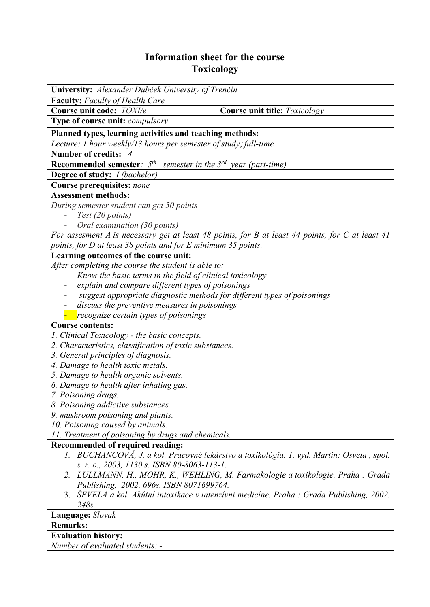## **Information sheet for the course Toxicology**

| <b>University:</b> Alexander Dubček University of Trenčín                                        |                                                                                          |  |  |  |
|--------------------------------------------------------------------------------------------------|------------------------------------------------------------------------------------------|--|--|--|
| <b>Faculty:</b> Faculty of Health Care                                                           |                                                                                          |  |  |  |
| Course unit code: TOXI/e                                                                         | Course unit title: Toxicology                                                            |  |  |  |
| <b>Type of course unit: <i>compulsory</i></b>                                                    |                                                                                          |  |  |  |
| Planned types, learning activities and teaching methods:                                         |                                                                                          |  |  |  |
| Lecture: 1 hour weekly/13 hours per semester of study; full-time                                 |                                                                                          |  |  |  |
| <b>Number of credits:</b>                                                                        |                                                                                          |  |  |  |
| <b>Recommended semester</b> : $5th$ semester in the $3rd$ year (part-time)                       |                                                                                          |  |  |  |
| <b>Degree of study:</b> <i>I (bachelor)</i>                                                      |                                                                                          |  |  |  |
| Course prerequisites: none                                                                       |                                                                                          |  |  |  |
| <b>Assessment methods:</b>                                                                       |                                                                                          |  |  |  |
| During semester student can get 50 points                                                        |                                                                                          |  |  |  |
| Test (20 points)                                                                                 |                                                                                          |  |  |  |
| Oral examination (30 points)                                                                     |                                                                                          |  |  |  |
| For assesment A is necessary get at least 48 points, for B at least 44 points, for C at least 41 |                                                                                          |  |  |  |
| points, for D at least 38 points and for E minimum 35 points.                                    |                                                                                          |  |  |  |
| Learning outcomes of the course unit:                                                            |                                                                                          |  |  |  |
| After completing the course the student is able to:                                              |                                                                                          |  |  |  |
| Know the basic terms in the field of clinical toxicology                                         |                                                                                          |  |  |  |
| explain and compare different types of poisonings                                                |                                                                                          |  |  |  |
| suggest appropriate diagnostic methods for different types of poisonings                         |                                                                                          |  |  |  |
| discuss the preventive measures in poisonings                                                    |                                                                                          |  |  |  |
| recognize certain types of poisonings                                                            |                                                                                          |  |  |  |
| <b>Course contents:</b>                                                                          |                                                                                          |  |  |  |
| 1. Clinical Toxicology - the basic concepts.                                                     |                                                                                          |  |  |  |
| 2. Characteristics, classification of toxic substances.                                          |                                                                                          |  |  |  |
| 3. General principles of diagnosis.<br>4. Damage to health toxic metals.                         |                                                                                          |  |  |  |
| 5. Damage to health organic solvents.                                                            |                                                                                          |  |  |  |
| 6. Damage to health after inhaling gas.                                                          |                                                                                          |  |  |  |
| 7. Poisoning drugs.                                                                              |                                                                                          |  |  |  |
| 8. Poisoning addictive substances.                                                               |                                                                                          |  |  |  |
| 9. mushroom poisoning and plants.                                                                |                                                                                          |  |  |  |
| 10. Poisoning caused by animals.                                                                 |                                                                                          |  |  |  |
| 11. Treatment of poisoning by drugs and chemicals.                                               |                                                                                          |  |  |  |
| Recommended of required reading:                                                                 |                                                                                          |  |  |  |
|                                                                                                  | 1. BUCHANCOVÁ, J. a kol. Pracovné lekárstvo a toxikológia. 1. vyd. Martin: Osveta, spol. |  |  |  |
| s. r. o., 2003, 1130 s. ISBN 80-8063-113-1.                                                      |                                                                                          |  |  |  |
| 2. LULLMANN, H., MOHR, K., WEHLING, M. Farmakologie a toxikologie. Praha : Grada                 |                                                                                          |  |  |  |
| Publishing, 2002. 696s. ISBN 8071699764.                                                         |                                                                                          |  |  |  |
| ŠEVELA a kol. Akútní intoxikace v intenzívni medicíne. Praha : Grada Publishing, 2002.<br>3.     |                                                                                          |  |  |  |
| 248s.                                                                                            |                                                                                          |  |  |  |
| Language: Slovak                                                                                 |                                                                                          |  |  |  |
| <b>Remarks:</b>                                                                                  |                                                                                          |  |  |  |
| <b>Evaluation history:</b>                                                                       |                                                                                          |  |  |  |
| Number of evaluated students: -                                                                  |                                                                                          |  |  |  |